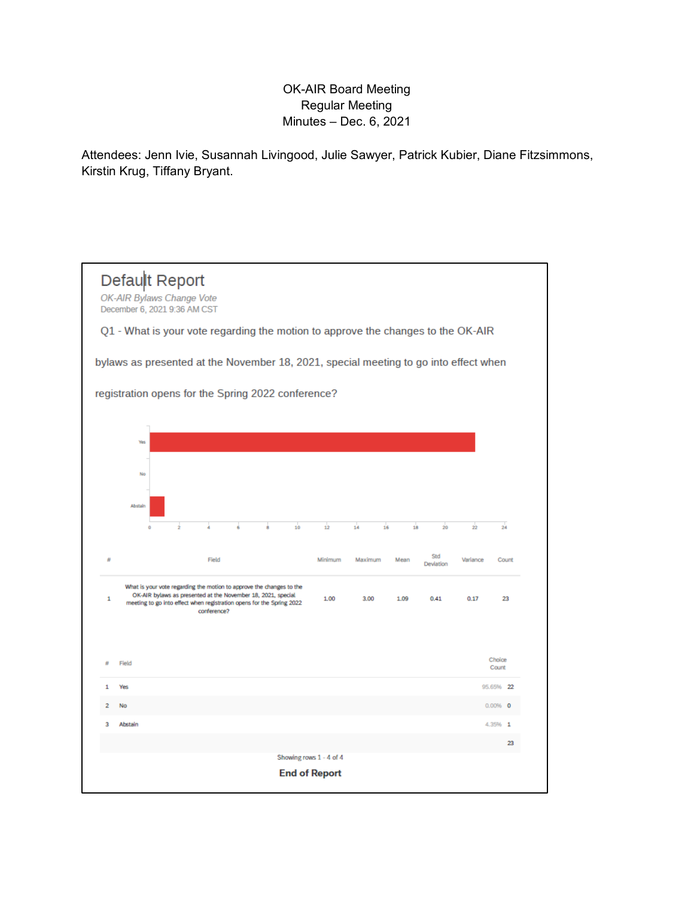## OK-AIR Board Meeting Regular Meeting Minutes – Dec. 6, 2021

Attendees: Jenn Ivie, Susannah Livingood, Julie Sawyer, Patrick Kubier, Diane Fitzsimmons, Kirstin Krug, Tiffany Bryant.